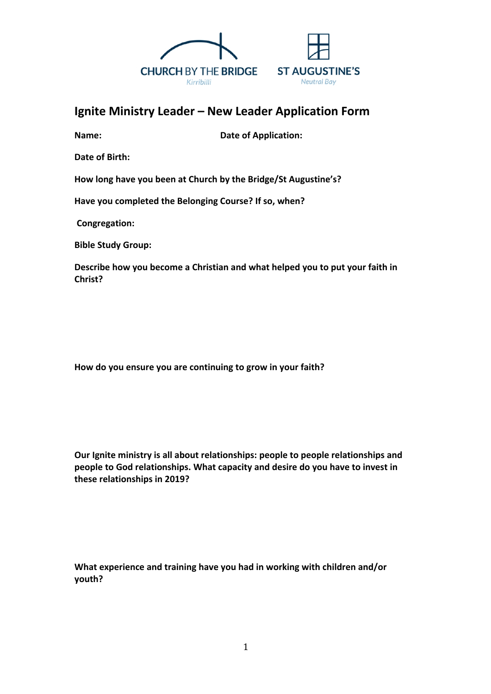

## **Ignite Ministry Leader – New Leader Application Form**

**Name:** Date of Application:

**Date of Birth:**

**How long have you been at Church by the Bridge/St Augustine's?**

**Have you completed the Belonging Course? If so, when?**

**Congregation:**

**Bible Study Group:**

**Describe how you become a Christian and what helped you to put your faith in Christ?** 

**How do you ensure you are continuing to grow in your faith?**

**Our Ignite ministry is all about relationships: people to people relationships and people to God relationships. What capacity and desire do you have to invest in these relationships in 2019?**

**What experience and training have you had in working with children and/or youth?**